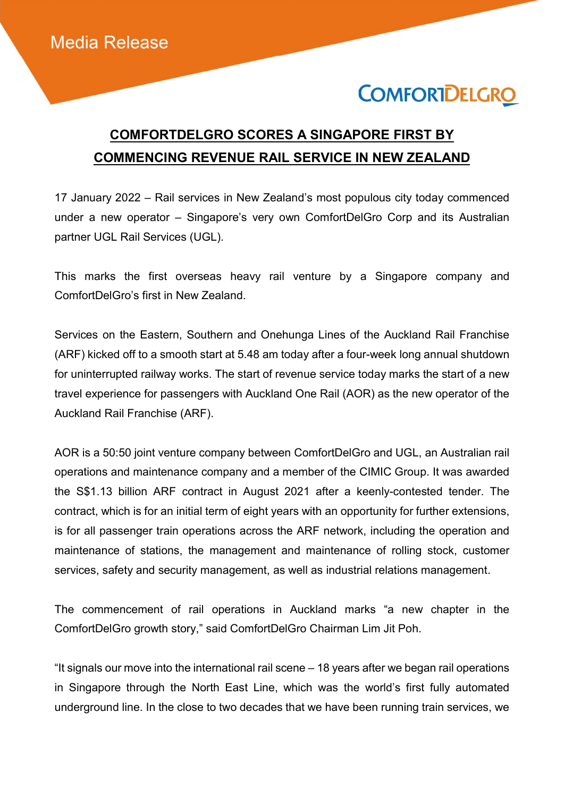# **COMFORTDELGRO**

## COMFORTDELGRO SCORES A SINGAPORE FIRST BY COMMENCING REVENUE RAIL SERVICE IN NEW ZEALAND

17 January 2022 – Rail services in New Zealand's most populous city today commenced under a new operator – Singapore's very own ComfortDelGro Corp and its Australian partner UGL Rail Services (UGL).

This marks the first overseas heavy rail venture by a Singapore company and ComfortDelGro's first in New Zealand.

Services on the Eastern, Southern and Onehunga Lines of the Auckland Rail Franchise (ARF) kicked off to a smooth start at 5.48 am today after a four-week long annual shutdown for uninterrupted railway works. The start of revenue service today marks the start of a new travel experience for passengers with Auckland One Rail (AOR) as the new operator of the Auckland Rail Franchise (ARF).

AOR is a 50:50 joint venture company between ComfortDelGro and UGL, an Australian rail operations and maintenance company and a member of the CIMIC Group. It was awarded the S\$1.13 billion ARF contract in August 2021 after a keenly-contested tender. The contract, which is for an initial term of eight years with an opportunity for further extensions, is for all passenger train operations across the ARF network, including the operation and maintenance of stations, the management and maintenance of rolling stock, customer services, safety and security management, as well as industrial relations management.

The commencement of rail operations in Auckland marks "a new chapter in the ComfortDelGro growth story," said ComfortDelGro Chairman Lim Jit Poh.

"It signals our move into the international rail scene – 18 years after we began rail operations in Singapore through the North East Line, which was the world's first fully automated underground line. In the close to two decades that we have been running train services, we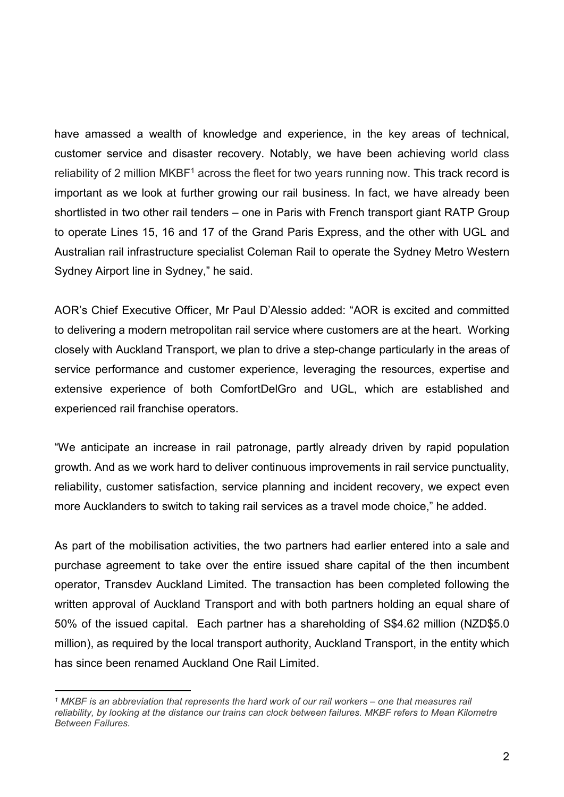have amassed a wealth of knowledge and experience, in the key areas of technical, customer service and disaster recovery. Notably, we have been achieving world class reliability of 2 million MKBF1 across the fleet for two years running now. This track record is important as we look at further growing our rail business. In fact, we have already been shortlisted in two other rail tenders – one in Paris with French transport giant RATP Group to operate Lines 15, 16 and 17 of the Grand Paris Express, and the other with UGL and Australian rail infrastructure specialist Coleman Rail to operate the Sydney Metro Western Sydney Airport line in Sydney," he said.

AOR's Chief Executive Officer, Mr Paul D'Alessio added: "AOR is excited and committed to delivering a modern metropolitan rail service where customers are at the heart. Working closely with Auckland Transport, we plan to drive a step-change particularly in the areas of service performance and customer experience, leveraging the resources, expertise and extensive experience of both ComfortDelGro and UGL, which are established and experienced rail franchise operators.

"We anticipate an increase in rail patronage, partly already driven by rapid population growth. And as we work hard to deliver continuous improvements in rail service punctuality, reliability, customer satisfaction, service planning and incident recovery, we expect even more Aucklanders to switch to taking rail services as a travel mode choice," he added.

As part of the mobilisation activities, the two partners had earlier entered into a sale and purchase agreement to take over the entire issued share capital of the then incumbent operator, Transdev Auckland Limited. The transaction has been completed following the written approval of Auckland Transport and with both partners holding an equal share of 50% of the issued capital. Each partner has a shareholding of S\$4.62 million (NZD\$5.0 million), as required by the local transport authority, Auckland Transport, in the entity which has since been renamed Auckland One Rail Limited.

 $\overline{a}$ 

<sup>1</sup> MKBF is an abbreviation that represents the hard work of our rail workers – one that measures rail reliability, by looking at the distance our trains can clock between failures. MKBF refers to Mean Kilometre Between Failures.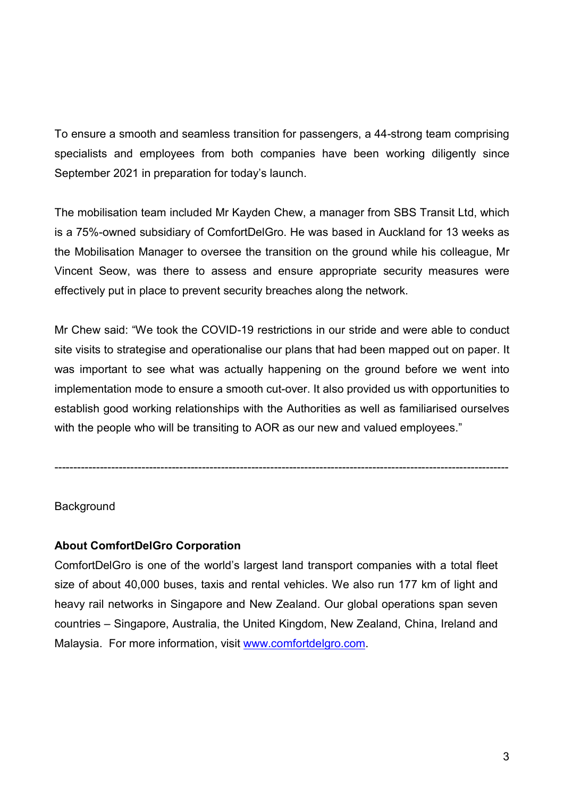To ensure a smooth and seamless transition for passengers, a 44-strong team comprising specialists and employees from both companies have been working diligently since September 2021 in preparation for today's launch.

The mobilisation team included Mr Kayden Chew, a manager from SBS Transit Ltd, which is a 75%-owned subsidiary of ComfortDelGro. He was based in Auckland for 13 weeks as the Mobilisation Manager to oversee the transition on the ground while his colleague, Mr Vincent Seow, was there to assess and ensure appropriate security measures were effectively put in place to prevent security breaches along the network.

Mr Chew said: "We took the COVID-19 restrictions in our stride and were able to conduct site visits to strategise and operationalise our plans that had been mapped out on paper. It was important to see what was actually happening on the ground before we went into implementation mode to ensure a smooth cut-over. It also provided us with opportunities to establish good working relationships with the Authorities as well as familiarised ourselves with the people who will be transiting to AOR as our new and valued employees."

------------------------------------------------------------------------------------------------------------------------

### **Background**

### About ComfortDelGro Corporation

ComfortDelGro is one of the world's largest land transport companies with a total fleet size of about 40,000 buses, taxis and rental vehicles. We also run 177 km of light and heavy rail networks in Singapore and New Zealand. Our global operations span seven countries – Singapore, Australia, the United Kingdom, New Zealand, China, Ireland and Malaysia. For more information, visit www.comfortdelgro.com.